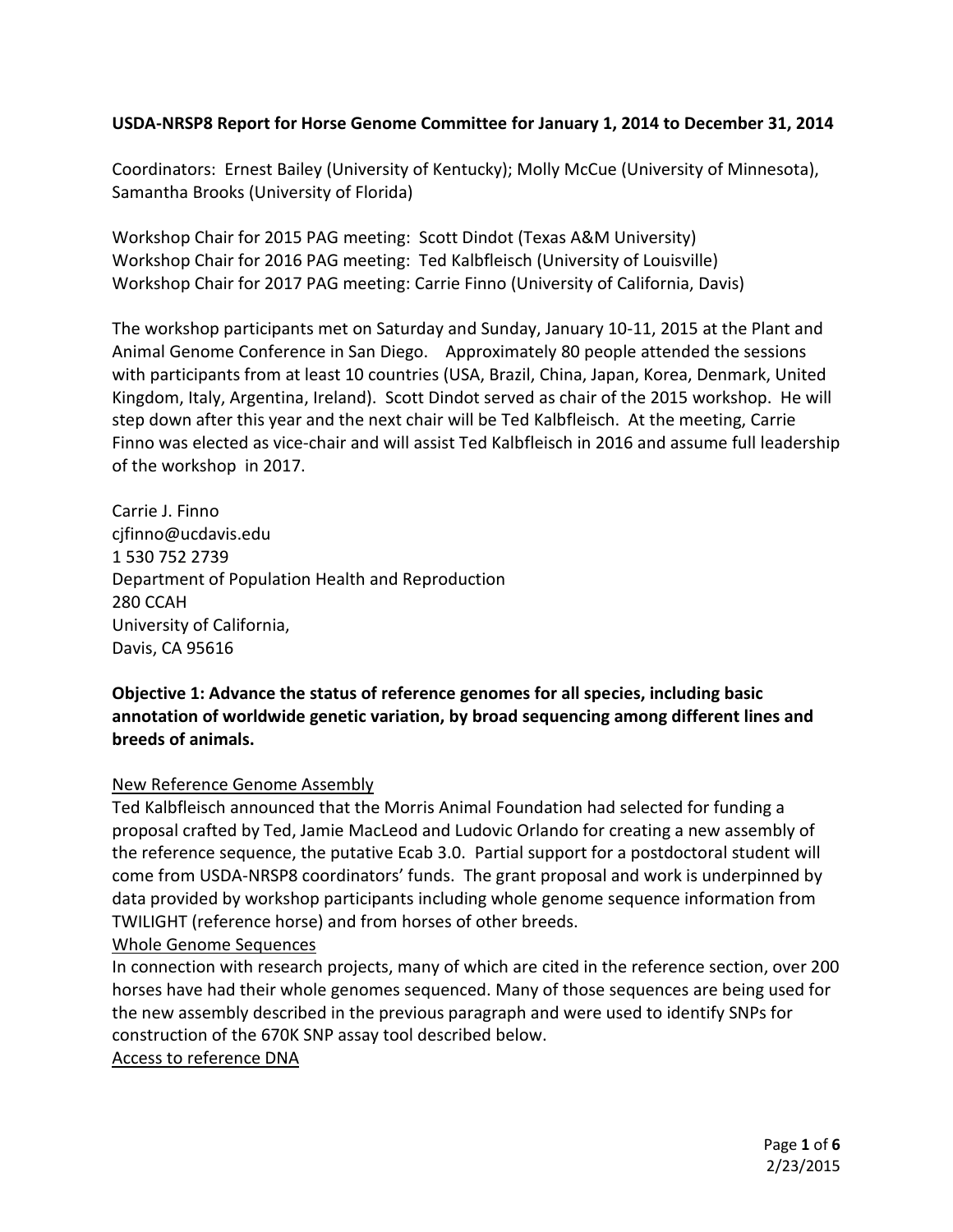## **USDA-NRSP8 Report for Horse Genome Committee for January 1, 2014 to December 31, 2014**

Coordinators: Ernest Bailey (University of Kentucky); Molly McCue (University of Minnesota), Samantha Brooks (University of Florida)

Workshop Chair for 2015 PAG meeting: Scott Dindot (Texas A&M University) Workshop Chair for 2016 PAG meeting: Ted Kalbfleisch (University of Louisville) Workshop Chair for 2017 PAG meeting: Carrie Finno (University of California, Davis)

The workshop participants met on Saturday and Sunday, January 10-11, 2015 at the Plant and Animal Genome Conference in San Diego. Approximately 80 people attended the sessions with participants from at least 10 countries (USA, Brazil, China, Japan, Korea, Denmark, United Kingdom, Italy, Argentina, Ireland). Scott Dindot served as chair of the 2015 workshop. He will step down after this year and the next chair will be Ted Kalbfleisch. At the meeting, Carrie Finno was elected as vice-chair and will assist Ted Kalbfleisch in 2016 and assume full leadership of the workshop in 2017.

Carrie J. Finno cjfinno@ucdavis.edu 1 530 752 2739 Department of Population Health and Reproduction 280 CCAH University of California, Davis, CA 95616

**Objective 1: Advance the status of reference genomes for all species, including basic annotation of worldwide genetic variation, by broad sequencing among different lines and breeds of animals.** 

### New Reference Genome Assembly

Ted Kalbfleisch announced that the Morris Animal Foundation had selected for funding a proposal crafted by Ted, Jamie MacLeod and Ludovic Orlando for creating a new assembly of the reference sequence, the putative Ecab 3.0. Partial support for a postdoctoral student will come from USDA-NRSP8 coordinators' funds. The grant proposal and work is underpinned by data provided by workshop participants including whole genome sequence information from TWILIGHT (reference horse) and from horses of other breeds.

### Whole Genome Sequences

In connection with research projects, many of which are cited in the reference section, over 200 horses have had their whole genomes sequenced. Many of those sequences are being used for the new assembly described in the previous paragraph and were used to identify SNPs for construction of the 670K SNP assay tool described below.

## Access to reference DNA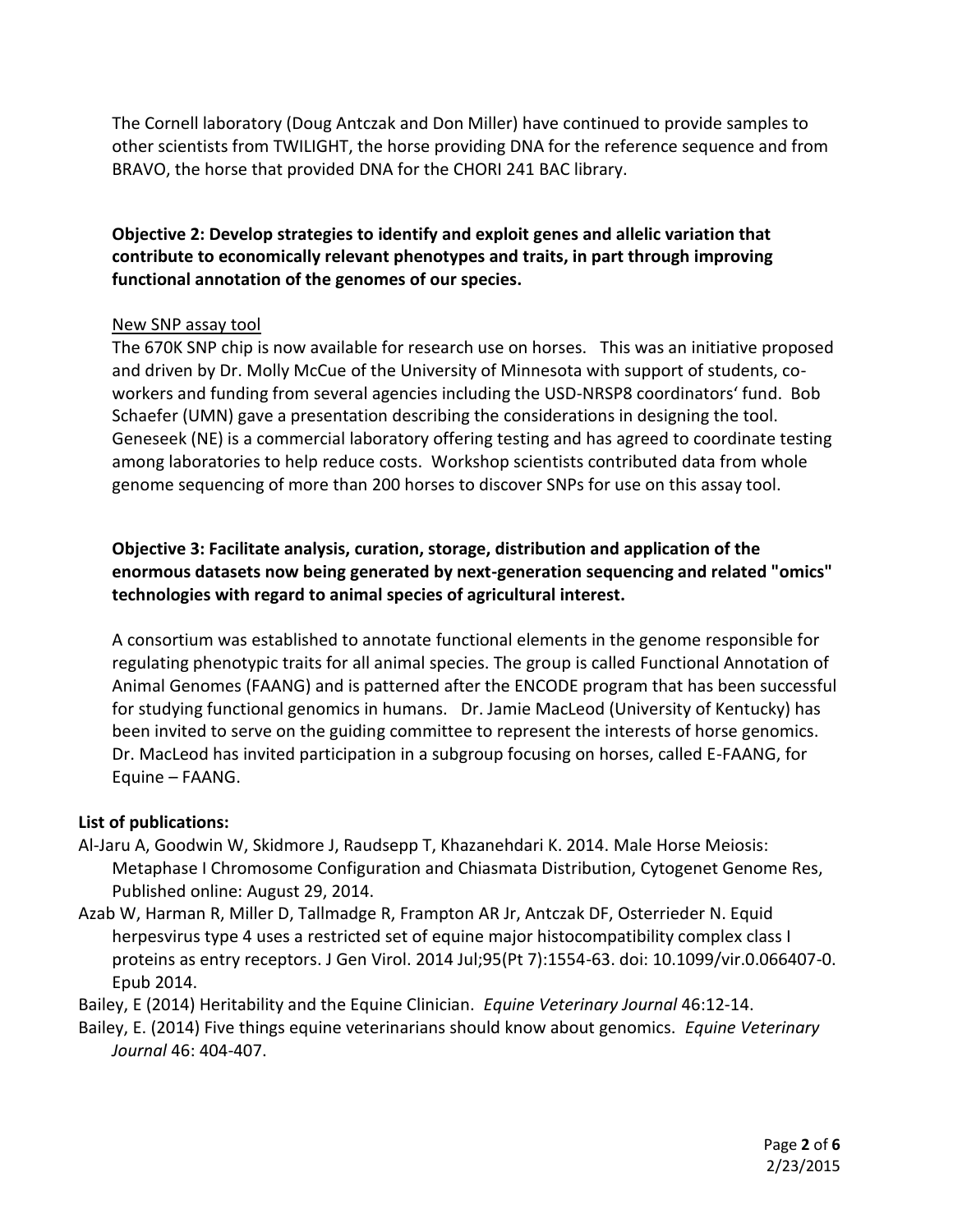The Cornell laboratory (Doug Antczak and Don Miller) have continued to provide samples to other scientists from TWILIGHT, the horse providing DNA for the reference sequence and from BRAVO, the horse that provided DNA for the CHORI 241 BAC library.

**Objective 2: Develop strategies to identify and exploit genes and allelic variation that contribute to economically relevant phenotypes and traits, in part through improving functional annotation of the genomes of our species.** 

### New SNP assay tool

The 670K SNP chip is now available for research use on horses. This was an initiative proposed and driven by Dr. Molly McCue of the University of Minnesota with support of students, coworkers and funding from several agencies including the USD-NRSP8 coordinators' fund. Bob Schaefer (UMN) gave a presentation describing the considerations in designing the tool. Geneseek (NE) is a commercial laboratory offering testing and has agreed to coordinate testing among laboratories to help reduce costs. Workshop scientists contributed data from whole genome sequencing of more than 200 horses to discover SNPs for use on this assay tool.

# **Objective 3: Facilitate analysis, curation, storage, distribution and application of the enormous datasets now being generated by next-generation sequencing and related "omics" technologies with regard to animal species of agricultural interest.**

A consortium was established to annotate functional elements in the genome responsible for regulating phenotypic traits for all animal species. The group is called Functional Annotation of Animal Genomes (FAANG) and is patterned after the ENCODE program that has been successful for studying functional genomics in humans. Dr. Jamie MacLeod (University of Kentucky) has been invited to serve on the guiding committee to represent the interests of horse genomics. Dr. MacLeod has invited participation in a subgroup focusing on horses, called E-FAANG, for Equine – FAANG.

## **List of publications:**

- Al-Jaru A, Goodwin W, Skidmore J, Raudsepp T, Khazanehdari K. 2014. Male Horse Meiosis: Metaphase I Chromosome Configuration and Chiasmata Distribution, Cytogenet Genome Res, Published online: August 29, 2014.
- Azab W, Harman R, Miller D, Tallmadge R, Frampton AR Jr, Antczak DF, Osterrieder N. Equid herpesvirus type 4 uses a restricted set of equine major histocompatibility complex class I proteins as entry receptors. J Gen Virol. 2014 Jul;95(Pt 7):1554-63. doi: 10.1099/vir.0.066407-0. Epub 2014.

Bailey, E (2014) Heritability and the Equine Clinician. *Equine Veterinary Journal* 46:12-14.

Bailey, E. (2014) Five things equine veterinarians should know about genomics. *Equine Veterinary Journal* 46: 404-407.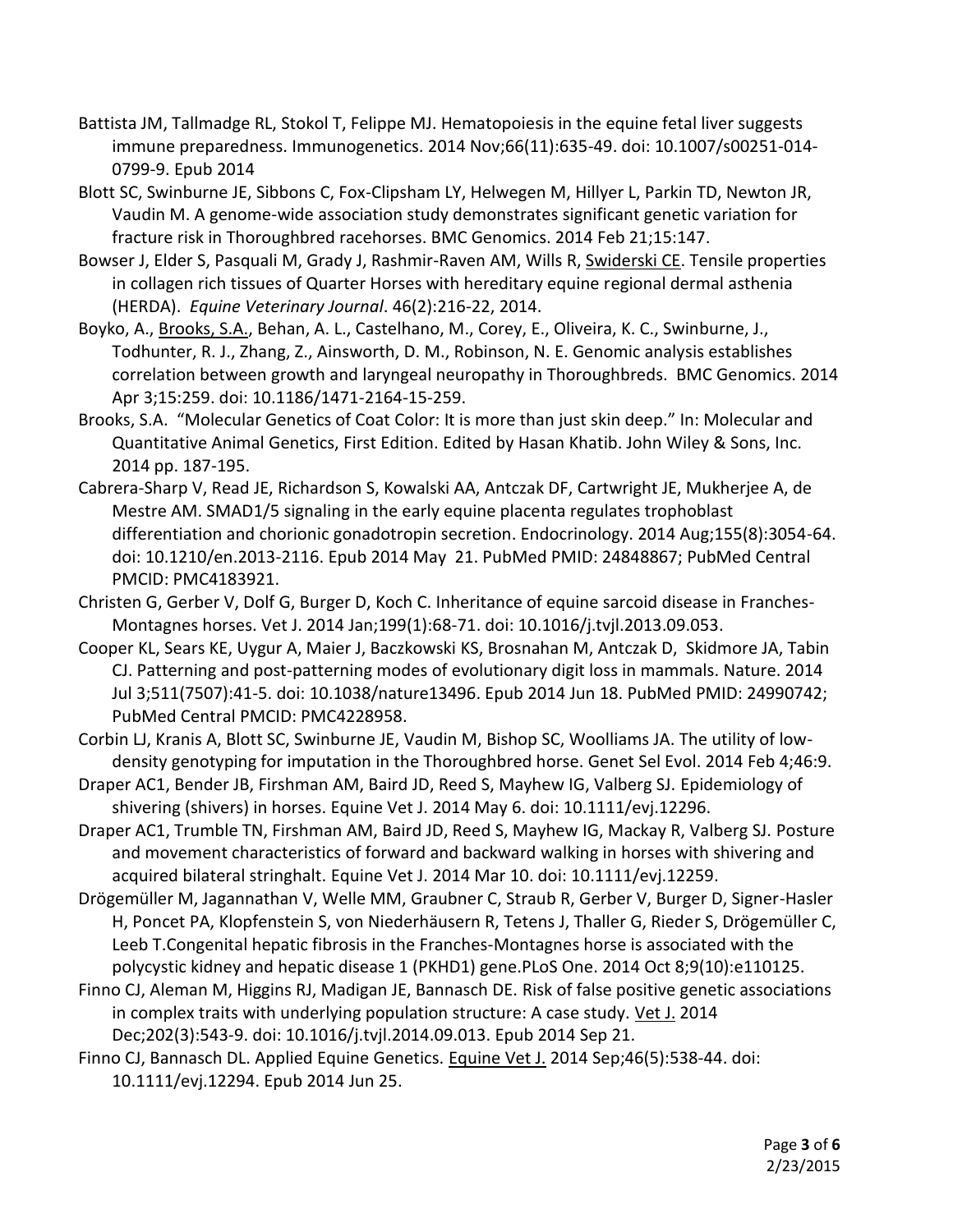- Battista JM, Tallmadge RL, Stokol T, Felippe MJ. Hematopoiesis in the equine fetal liver suggests immune preparedness. Immunogenetics. 2014 Nov;66(11):635-49. doi: 10.1007/s00251-014- 0799-9. Epub 2014
- Blott SC, Swinburne JE, Sibbons C, Fox-Clipsham LY, Helwegen M, Hillyer L, Parkin TD, Newton JR, Vaudin M. A genome-wide association study demonstrates significant genetic variation for fracture risk in Thoroughbred racehorses. BMC Genomics. 2014 Feb 21;15:147.
- Bowser J, Elder S, Pasquali M, Grady J, Rashmir-Raven AM, Wills R, Swiderski CE. Tensile properties in collagen rich tissues of Quarter Horses with hereditary equine regional dermal asthenia (HERDA). *Equine Veterinary Journal*. 46(2):216-22, 2014.
- Boyko, A., Brooks, S.A., Behan, A. L., Castelhano, M., Corey, E., Oliveira, K. C., Swinburne, J., Todhunter, R. J., Zhang, Z., Ainsworth, D. M., Robinson, N. E. Genomic analysis establishes correlation between growth and laryngeal neuropathy in Thoroughbreds. BMC Genomics. 2014 Apr 3;15:259. doi: 10.1186/1471-2164-15-259.
- Brooks, S.A. "Molecular Genetics of Coat Color: It is more than just skin deep." In: Molecular and Quantitative Animal Genetics, First Edition. Edited by Hasan Khatib. John Wiley & Sons, Inc. 2014 pp. 187-195.
- Cabrera-Sharp V, Read JE, Richardson S, Kowalski AA, Antczak DF, Cartwright JE, Mukherjee A, de Mestre AM. SMAD1/5 signaling in the early equine placenta regulates trophoblast differentiation and chorionic gonadotropin secretion. Endocrinology. 2014 Aug;155(8):3054-64. doi: 10.1210/en.2013-2116. Epub 2014 May 21. PubMed PMID: 24848867; PubMed Central PMCID: PMC4183921.
- Christen G, Gerber V, Dolf G, Burger D, Koch C. Inheritance of equine sarcoid disease in Franches-Montagnes horses. Vet J. 2014 Jan;199(1):68-71. doi: 10.1016/j.tvjl.2013.09.053.
- Cooper KL, Sears KE, Uygur A, Maier J, Baczkowski KS, Brosnahan M, Antczak D, Skidmore JA, Tabin CJ. Patterning and post-patterning modes of evolutionary digit loss in mammals. Nature. 2014 Jul 3;511(7507):41-5. doi: 10.1038/nature13496. Epub 2014 Jun 18. PubMed PMID: 24990742; PubMed Central PMCID: PMC4228958.
- Corbin LJ, Kranis A, Blott SC, Swinburne JE, Vaudin M, Bishop SC, Woolliams JA. The utility of lowdensity genotyping for imputation in the Thoroughbred horse. Genet Sel Evol. 2014 Feb 4;46:9.
- Draper AC1, Bender JB, Firshman AM, Baird JD, Reed S, Mayhew IG, Valberg SJ. Epidemiology of shivering (shivers) in horses. Equine Vet J. 2014 May 6. doi: 10.1111/evj.12296.
- Draper AC1, Trumble TN, Firshman AM, Baird JD, Reed S, Mayhew IG, Mackay R, Valberg SJ. Posture and movement characteristics of forward and backward walking in horses with shivering and acquired bilateral stringhalt. Equine Vet J. 2014 Mar 10. doi: 10.1111/evj.12259.
- Drögemüller M, Jagannathan V, Welle MM, Graubner C, Straub R, Gerber V, Burger D, Signer-Hasler H, Poncet PA, Klopfenstein S, von Niederhäusern R, Tetens J, Thaller G, Rieder S, Drögemüller C, Leeb T.Congenital hepatic fibrosis in the Franches-Montagnes horse is associated with the polycystic kidney and hepatic disease 1 (PKHD1) gene.PLoS One. 2014 Oct 8;9(10):e110125.
- Finno CJ, Aleman M, Higgins RJ, Madigan JE, Bannasch DE. Risk of false positive genetic associations in complex traits with underlying population structure: A case study. [Vet J.](http://www.ncbi.nlm.nih.gov/pubmed/25278384) 2014 Dec;202(3):543-9. doi: 10.1016/j.tvjl.2014.09.013. Epub 2014 Sep 21.
- Finno CJ, Bannasch DL. Applied Equine Genetics. [Equine Vet J.](http://www.ncbi.nlm.nih.gov/pubmed/24802051) 2014 Sep;46(5):538-44. doi: 10.1111/evj.12294. Epub 2014 Jun 25.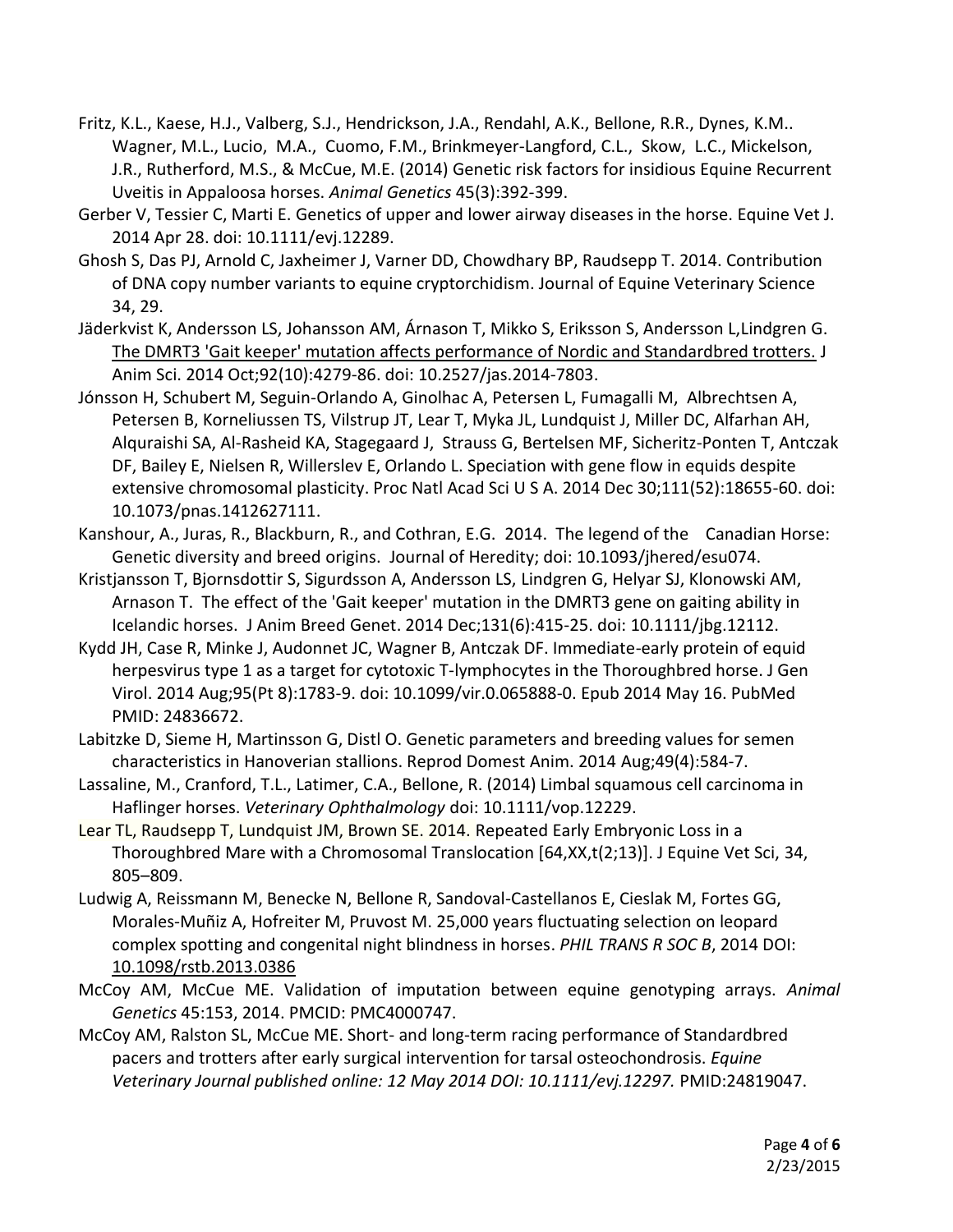- Fritz, K.L., Kaese, H.J., Valberg, S.J., Hendrickson, J.A., Rendahl, A.K., Bellone, R.R., Dynes, K.M.. Wagner, M.L., Lucio, M.A., Cuomo, F.M., Brinkmeyer-Langford, C.L., Skow, L.C., Mickelson, J.R., Rutherford, M.S., & McCue, M.E. (2014) Genetic risk factors for insidious Equine Recurrent Uveitis in Appaloosa horses. *Animal Genetics* 45(3):392-399.
- Gerber V, Tessier C, Marti E. Genetics of upper and lower airway diseases in the horse. Equine Vet J. 2014 Apr 28. doi: 10.1111/evj.12289.
- Ghosh S, Das PJ, Arnold C, Jaxheimer J, Varner DD, Chowdhary BP, Raudsepp T. 2014. Contribution of DNA copy number variants to equine cryptorchidism. Journal of Equine Veterinary Science 34, 29.
- Jäderkvist K, Andersson LS, Johansson AM, Árnason T, Mikko S, Eriksson S, Andersson L,Lindgren G. [The DMRT3 'Gait keeper' mutation affects performance of Nordic and Standardbred trotters.](http://www.ncbi.nlm.nih.gov/pubmed/25085403) J Anim Sci. 2014 Oct;92(10):4279-86. doi: 10.2527/jas.2014-7803.
- Jónsson H, Schubert M, Seguin-Orlando A, Ginolhac A, Petersen L, Fumagalli M, Albrechtsen A, Petersen B, Korneliussen TS, Vilstrup JT, Lear T, Myka JL, Lundquist J, Miller DC, Alfarhan AH, Alquraishi SA, Al-Rasheid KA, Stagegaard J, Strauss G, Bertelsen MF, Sicheritz-Ponten T, Antczak DF, Bailey E, Nielsen R, Willerslev E, Orlando L. Speciation with gene flow in equids despite extensive chromosomal plasticity. Proc Natl Acad Sci U S A. 2014 Dec 30;111(52):18655-60. doi: 10.1073/pnas.1412627111.
- Kanshour, A., Juras, R., Blackburn, R., and Cothran, E.G. 2014. The legend of the Canadian Horse: Genetic diversity and breed origins. Journal of Heredity; doi: 10.1093/jhered/esu074.
- Kristjansson T, Bjornsdottir S, Sigurdsson A, Andersson LS, Lindgren G, Helyar SJ, Klonowski AM, Arnason T. [The effect of the 'Gait keeper' mutation in the DMRT3 gene on gaiting ability in](http://www.ncbi.nlm.nih.gov/pubmed/25073639)  [Icelandic](http://www.ncbi.nlm.nih.gov/pubmed/25073639) horses. J Anim Breed Genet. 2014 Dec;131(6):415-25. doi: 10.1111/jbg.12112.
- Kydd JH, Case R, Minke J, Audonnet JC, Wagner B, Antczak DF. Immediate-early protein of equid herpesvirus type 1 as a target for cytotoxic T-lymphocytes in the Thoroughbred horse. J Gen Virol. 2014 Aug;95(Pt 8):1783-9. doi: 10.1099/vir.0.065888-0. Epub 2014 May 16. PubMed PMID: 24836672.
- Labitzke D, Sieme H, Martinsson G, Distl O. Genetic parameters and breeding values for semen characteristics in Hanoverian stallions. Reprod Domest Anim. 2014 Aug;49(4):584-7.
- Lassaline, M., Cranford, T.L., Latimer, C.A., Bellone, R. (2014) Limbal squamous cell carcinoma in Haflinger horses. *Veterinary Ophthalmology* doi: 10.1111/vop.12229.
- Lear TL, Raudsepp T, Lundquist JM, Brown SE. 2014. Repeated Early Embryonic Loss in a Thoroughbred Mare with a Chromosomal Translocation [64,XX,t(2;13)]. J Equine Vet Sci, 34, 805–809.
- Ludwig A, Reissmann M, Benecke N, Bellone R, Sandoval-Castellanos E, Cieslak M, Fortes GG, Morales-Muñiz A, Hofreiter M, Pruvost M. 25,000 years fluctuating selection on leopard complex spotting and congenital night blindness in horses. *PHIL TRANS R SOC B*, 2014 DOI: [10.1098/rstb.2013.0386](http://dx.doi.org/10.1098/rstb.2013.0386)
- McCoy AM, McCue ME. Validation of imputation between equine genotyping arrays. *Animal Genetics* 45:153, 2014. PMCID: PMC4000747.
- McCoy AM, Ralston SL, McCue ME. Short- and long-term racing performance of Standardbred pacers and trotters after early surgical intervention for tarsal osteochondrosis. *Equine Veterinary Journal published online: 12 May 2014 DOI: 10.1111/evj.12297.* PMID:24819047.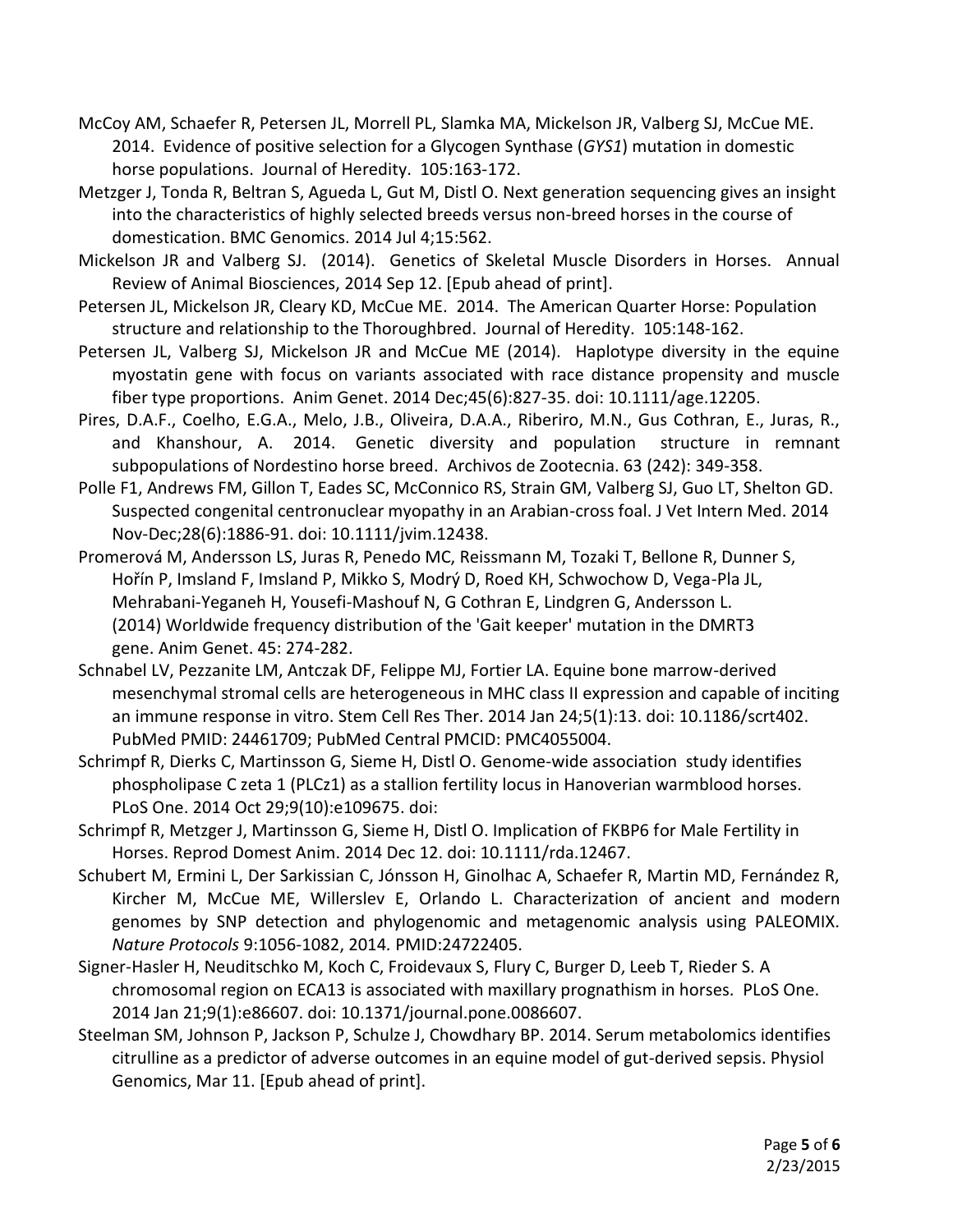- McCoy AM, Schaefer R, Petersen JL, Morrell PL, Slamka MA, Mickelson JR, Valberg SJ, McCue ME. 2014. Evidence of positive selection for a Glycogen Synthase (*GYS1*) mutation in domestic horse populations. Journal of Heredity. 105:163-172.
- Metzger J, Tonda R, Beltran S, Agueda L, Gut M, Distl O. Next generation sequencing gives an insight into the characteristics of highly selected breeds versus non-breed horses in the course of domestication. BMC Genomics. 2014 Jul 4;15:562.
- Mickelson JR and Valberg SJ. (2014). Genetics of Skeletal Muscle Disorders in Horses. Annual Review of Animal Biosciences, 2014 Sep 12. [Epub ahead of print].
- Petersen JL, Mickelson JR, Cleary KD, McCue ME. 2014. The American Quarter Horse: Population structure and relationship to the Thoroughbred. Journal of Heredity. 105:148-162.
- Petersen JL, Valberg SJ, Mickelson JR and McCue ME (2014). Haplotype diversity in the equine myostatin gene with focus on variants associated with race distance propensity and muscle fiber type proportions. Anim Genet. 2014 Dec;45(6):827-35. doi: 10.1111/age.12205.
- Pires, D.A.F., Coelho, E.G.A., Melo, J.B., Oliveira, D.A.A., Riberiro, M.N., Gus Cothran, E., Juras, R., and Khanshour, A. 2014. Genetic diversity and population structure in remnant subpopulations of Nordestino horse breed. Archivos de Zootecnia. 63 (242): 349-358.
- Polle F1, Andrews FM, Gillon T, Eades SC, McConnico RS, Strain GM, Valberg SJ, Guo LT, Shelton GD. Suspected congenital centronuclear myopathy in an Arabian-cross foal. J Vet Intern Med. 2014 Nov-Dec;28(6):1886-91. doi: 10.1111/jvim.12438.
- Promerová M, Andersson LS, Juras R, Penedo MC, Reissmann M, Tozaki T, Bellone R, Dunner S, Hořín P, Imsland F, Imsland P, Mikko S, Modrý D, Roed KH, Schwochow D, Vega-Pla JL, Mehrabani-Yeganeh H, Yousefi-Mashouf N, G Cothran E, Lindgren G, Andersson L. (2014) Worldwide frequency distribution of the 'Gait keeper' mutation in the DMRT3 gene. Anim Genet. 45: 274-282.
- Schnabel LV, Pezzanite LM, Antczak DF, Felippe MJ, Fortier LA. Equine bone marrow-derived mesenchymal stromal cells are heterogeneous in MHC class II expression and capable of inciting an immune response in vitro. Stem Cell Res Ther. 2014 Jan 24;5(1):13. doi: 10.1186/scrt402. PubMed PMID: 24461709; PubMed Central PMCID: PMC4055004.
- Schrimpf R, Dierks C, Martinsson G, Sieme H, Distl O. Genome-wide association study identifies phospholipase C zeta 1 (PLCz1) as a stallion fertility locus in Hanoverian warmblood horses. PLoS One. 2014 Oct 29;9(10):e109675. doi:
- Schrimpf R, Metzger J, Martinsson G, Sieme H, Distl O. Implication of FKBP6 for Male Fertility in Horses. Reprod Domest Anim. 2014 Dec 12. doi: 10.1111/rda.12467.
- Schubert M, Ermini L, Der Sarkissian C, Jónsson H, Ginolhac A, Schaefer R, Martin MD, Fernández R, Kircher M, McCue ME, Willerslev E, Orlando L. Characterization of ancient and modern genomes by SNP detection and phylogenomic and metagenomic analysis using PALEOMIX. *Nature Protocols* 9:1056-1082, 2014*.* PMID:24722405.
- Signer-Hasler H, Neuditschko M, Koch C, Froidevaux S, Flury C, Burger D, Leeb T, Rieder S. A chromosomal region on ECA13 is associated with maxillary prognathism in horses. PLoS One. 2014 Jan 21;9(1):e86607. doi: 10.1371/journal.pone.0086607.
- Steelman SM, Johnson P, Jackson P, Schulze J, Chowdhary BP. 2014. Serum metabolomics identifies citrulline as a predictor of adverse outcomes in an equine model of gut-derived sepsis. Physiol Genomics, Mar 11. [Epub ahead of print].